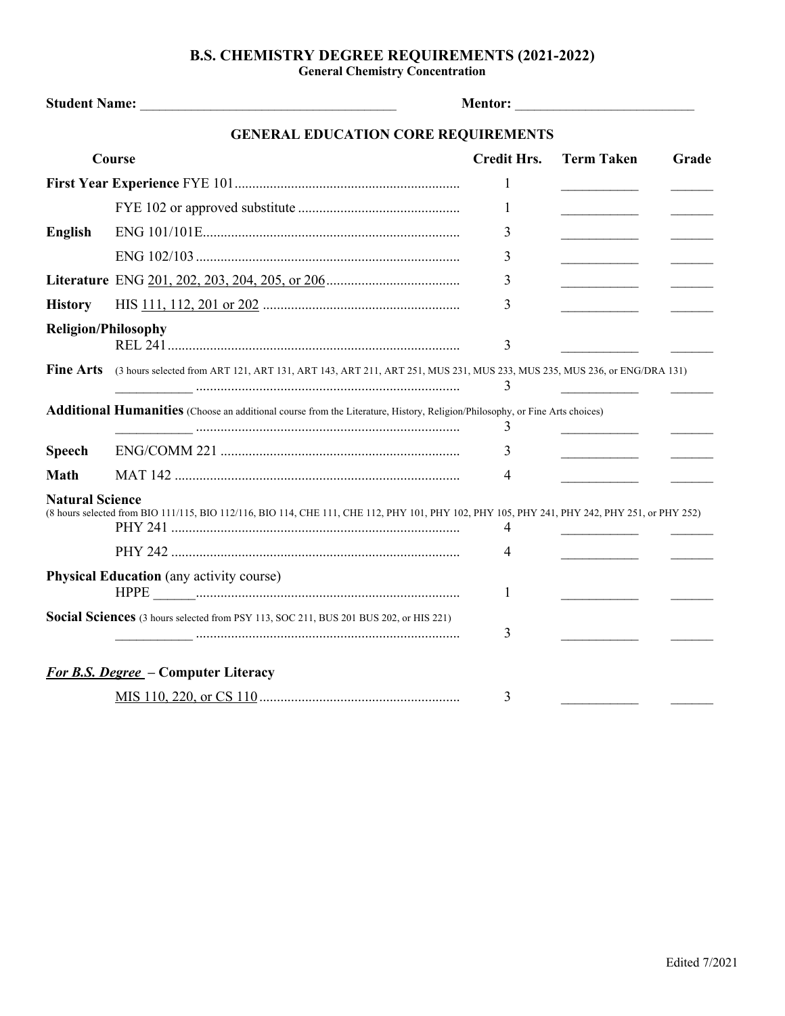## **B.S. CHEMISTRY DEGREE REQUIREMENTS (2021-2022)**

**General Chemistry Concentration**

| <b>Student Name:</b>   |                                                                                                                                               | <b>Mentor:</b>     | <u> 1986 - Johann Stoff, deutscher Stoffen und der Stoffen und der Stoffen und der Stoffen und der Stoffen und der </u> |       |  |
|------------------------|-----------------------------------------------------------------------------------------------------------------------------------------------|--------------------|-------------------------------------------------------------------------------------------------------------------------|-------|--|
|                        | <b>GENERAL EDUCATION CORE REQUIREMENTS</b>                                                                                                    |                    |                                                                                                                         |       |  |
| Course                 |                                                                                                                                               | <b>Credit Hrs.</b> | <b>Term Taken</b>                                                                                                       | Grade |  |
|                        |                                                                                                                                               | 1                  |                                                                                                                         |       |  |
|                        |                                                                                                                                               | 1                  |                                                                                                                         |       |  |
| <b>English</b>         |                                                                                                                                               | 3                  |                                                                                                                         |       |  |
|                        |                                                                                                                                               | 3                  |                                                                                                                         |       |  |
|                        |                                                                                                                                               | 3                  | <u> 1990 - Johann Barbara, martin a</u>                                                                                 |       |  |
| <b>History</b>         |                                                                                                                                               | 3                  |                                                                                                                         |       |  |
|                        | <b>Religion/Philosophy</b>                                                                                                                    | 3                  |                                                                                                                         |       |  |
| <b>Fine Arts</b>       | (3 hours selected from ART 121, ART 131, ART 143, ART 211, ART 251, MUS 231, MUS 233, MUS 235, MUS 236, or ENG/DRA 131)                       | 3                  |                                                                                                                         |       |  |
|                        | <b>Additional Humanities</b> (Choose an additional course from the Literature, History, Religion/Philosophy, or Fine Arts choices)            | 3                  |                                                                                                                         |       |  |
| <b>Speech</b>          |                                                                                                                                               | 3                  |                                                                                                                         |       |  |
| <b>Math</b>            |                                                                                                                                               | 4                  |                                                                                                                         |       |  |
| <b>Natural Science</b> | (8 hours selected from BIO 111/115, BIO 112/116, BIO 114, CHE 111, CHE 112, PHY 101, PHY 102, PHY 105, PHY 241, PHY 242, PHY 251, or PHY 252) | 4<br>4             |                                                                                                                         |       |  |
|                        | <b>Physical Education</b> (any activity course)                                                                                               | 1                  |                                                                                                                         |       |  |
|                        | Social Sciences (3 hours selected from PSY 113, SOC 211, BUS 201 BUS 202, or HIS 221)                                                         | 3                  |                                                                                                                         |       |  |
|                        | <b>For B.S. Degree</b> – Computer Literacy                                                                                                    |                    |                                                                                                                         |       |  |
|                        |                                                                                                                                               | 3                  |                                                                                                                         |       |  |